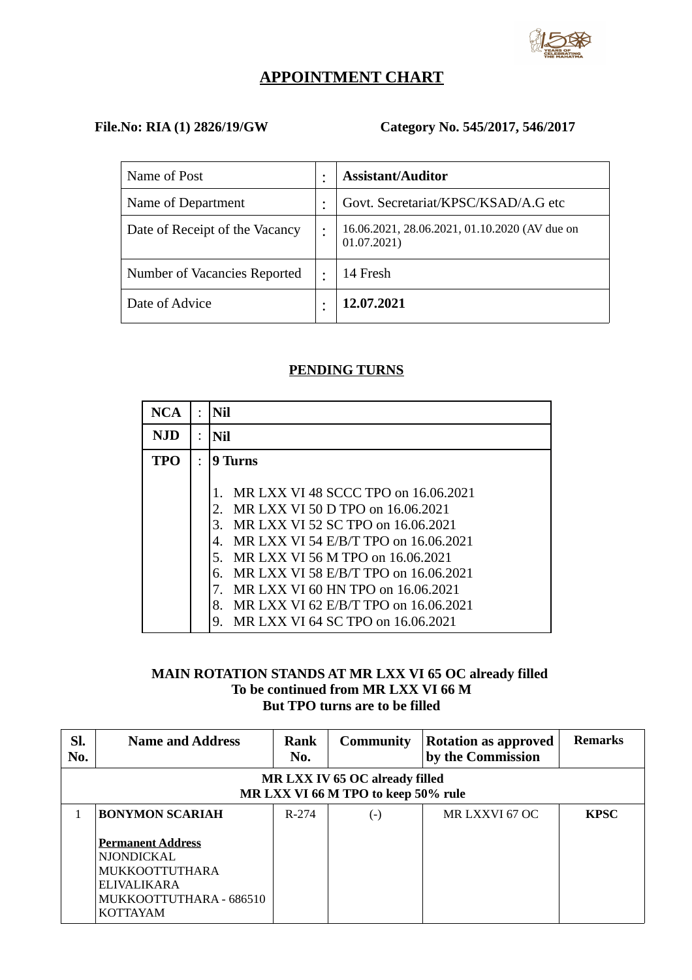

# **APPOINTMENT CHART**

## **File.No: RIA (1) 2826/19/GW Category No. 545/2017, 546/2017**

| Name of Post                   |   | <b>Assistant/Auditor</b>                                     |
|--------------------------------|---|--------------------------------------------------------------|
| Name of Department             |   | Govt. Secretariat/KPSC/KSAD/A.G etc                          |
| Date of Receipt of the Vacancy |   | 16.06.2021, 28.06.2021, 01.10.2020 (AV due on<br>01.07.2021) |
| Number of Vacancies Reported   | ٠ | 14 Fresh                                                     |
| Date of Advice                 |   | 12.07.2021                                                   |

### **PENDING TURNS**

| <b>NCA</b> | Nil                                                                                                                                                                                                                                                                                                                                                                                          |
|------------|----------------------------------------------------------------------------------------------------------------------------------------------------------------------------------------------------------------------------------------------------------------------------------------------------------------------------------------------------------------------------------------------|
| NJD        | Nil                                                                                                                                                                                                                                                                                                                                                                                          |
| TPO        | 9 Turns                                                                                                                                                                                                                                                                                                                                                                                      |
|            | MR LXX VI 48 SCCC TPO on 16.06.2021<br>MR LXX VI 50 D TPO on 16.06.2021<br>2.<br>MR LXX VI 52 SC TPO on 16.06.2021<br>З.<br>MR LXX VI 54 E/B/T TPO on 16.06.2021<br>4.<br>MR LXX VI 56 M TPO on 16.06.2021<br>5.<br>MR LXX VI 58 E/B/T TPO on 16.06.2021<br>6.<br>MR LXX VI 60 HN TPO on 16.06.2021<br>MR LXX VI 62 E/B/T TPO on 16.06.2021<br>8.<br>MR LXX VI 64 SC TPO on 16.06.2021<br>9. |

### **MAIN ROTATION STANDS AT MR LXX VI 65 OC already filled To be continued from MR LXX VI 66 M But TPO turns are to be filled**

| Sl.<br>No. | <b>Name and Address</b>                                                                                                             | Rank<br>No.                                                           | <b>Community</b>   | <b>Rotation as approved</b><br>by the Commission | <b>Remarks</b> |  |  |
|------------|-------------------------------------------------------------------------------------------------------------------------------------|-----------------------------------------------------------------------|--------------------|--------------------------------------------------|----------------|--|--|
|            |                                                                                                                                     | MR LXX IV 65 OC already filled<br>MR LXX VI 66 M TPO to keep 50% rule |                    |                                                  |                |  |  |
|            | <b>BONYMON SCARIAH</b>                                                                                                              | R-274                                                                 | $(\textnormal{-})$ | MR LXXVI 67 OC                                   | <b>KPSC</b>    |  |  |
|            | <b>Permanent Address</b><br><b>NJONDICKAL</b><br><b>MUKKOOTTUTHARA</b><br>ELIVALIKARA<br>MUKKOOTTUTHARA - 686510<br><b>KOTTAYAM</b> |                                                                       |                    |                                                  |                |  |  |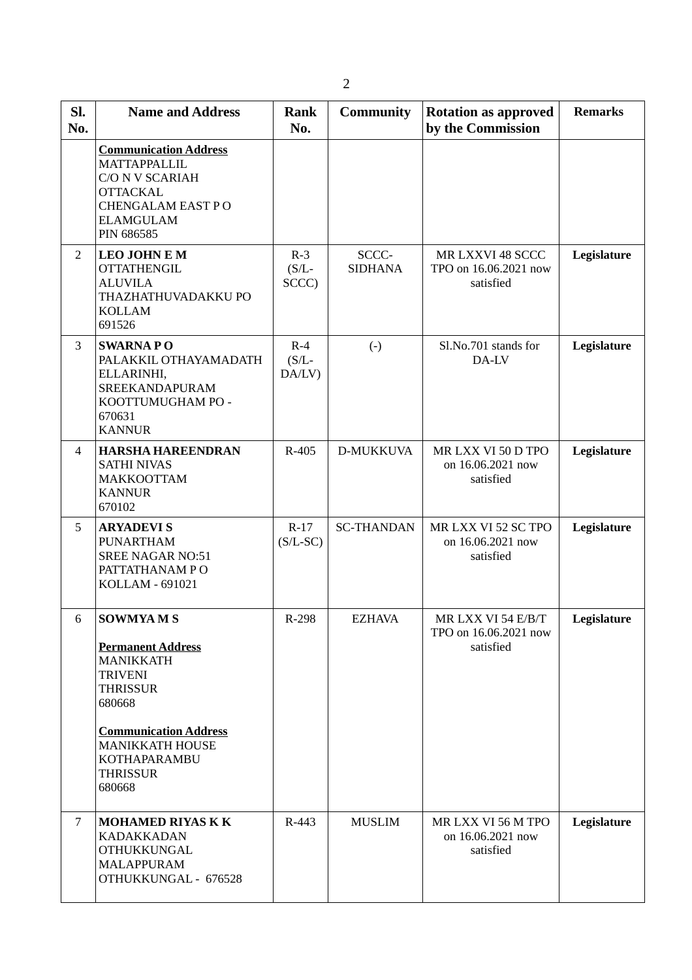| SI.<br>No.     | <b>Name and Address</b>                                                                                                                                                                                               | <b>Rank</b><br>No.          | <b>Community</b>        | <b>Rotation as approved</b><br>by the Commission         | <b>Remarks</b> |
|----------------|-----------------------------------------------------------------------------------------------------------------------------------------------------------------------------------------------------------------------|-----------------------------|-------------------------|----------------------------------------------------------|----------------|
|                | <b>Communication Address</b><br>MATTAPPALLIL<br><b>C/O N V SCARIAH</b><br><b>OTTACKAL</b><br>CHENGALAM EAST PO<br><b>ELAMGULAM</b><br>PIN 686585                                                                      |                             |                         |                                                          |                |
| $\overline{2}$ | <b>LEO JOHN E M</b><br><b>OTTATHENGIL</b><br><b>ALUVILA</b><br>THAZHATHUVADAKKU PO<br><b>KOLLAM</b><br>691526                                                                                                         | $R-3$<br>$(S/L-$<br>SCCC)   | SCCC-<br><b>SIDHANA</b> | MR LXXVI 48 SCCC<br>TPO on 16.06.2021 now<br>satisfied   | Legislature    |
| 3              | <b>SWARNAPO</b><br>PALAKKIL OTHAYAMADATH<br>ELLARINHI,<br><b>SREEKANDAPURAM</b><br>KOOTTUMUGHAM PO -<br>670631<br><b>KANNUR</b>                                                                                       | $R-4$<br>$(S/L -$<br>DA/LV) | $(-)$                   | Sl.No.701 stands for<br>DA-LV                            | Legislature    |
| $\overline{4}$ | <b>HARSHA HAREENDRAN</b><br><b>SATHI NIVAS</b><br><b>MAKKOOTTAM</b><br><b>KANNUR</b><br>670102                                                                                                                        | R-405                       | D-MUKKUVA               | MR LXX VI 50 D TPO<br>on 16.06.2021 now<br>satisfied     | Legislature    |
| 5              | <b>ARYADEVIS</b><br><b>PUNARTHAM</b><br><b>SREE NAGAR NO:51</b><br>PATTATHANAM PO<br>KOLLAM - 691021                                                                                                                  | $R-17$<br>$(S/L-SC)$        | <b>SC-THANDAN</b>       | MR LXX VI 52 SC TPO<br>on 16.06.2021 now<br>satisfied    | Legislature    |
| 6              | <b>SOWMYAMS</b><br><b>Permanent Address</b><br><b>MANIKKATH</b><br><b>TRIVENI</b><br><b>THRISSUR</b><br>680668<br><b>Communication Address</b><br><b>MANIKKATH HOUSE</b><br>KOTHAPARAMBU<br><b>THRISSUR</b><br>680668 | R-298                       | <b>EZHAVA</b>           | MR LXX VI 54 E/B/T<br>TPO on 16.06.2021 now<br>satisfied | Legislature    |
| $\overline{7}$ | <b>MOHAMED RIYAS K K</b><br>KADAKKADAN<br><b>OTHUKKUNGAL</b><br><b>MALAPPURAM</b><br>OTHUKKUNGAL - 676528                                                                                                             | R-443                       | <b>MUSLIM</b>           | MR LXX VI 56 M TPO<br>on 16.06.2021 now<br>satisfied     | Legislature    |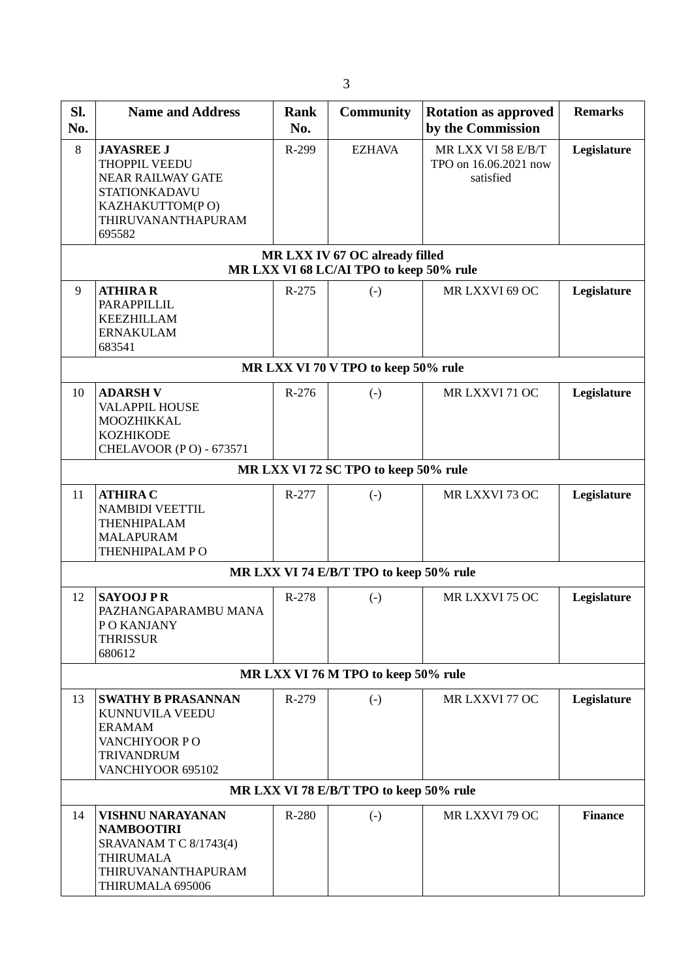| SI.<br>No.                              | <b>Name and Address</b>                                                                                                                   | Rank<br>No. | <b>Community</b>                                                          | <b>Rotation as approved</b><br>by the Commission         | <b>Remarks</b> |  |
|-----------------------------------------|-------------------------------------------------------------------------------------------------------------------------------------------|-------------|---------------------------------------------------------------------------|----------------------------------------------------------|----------------|--|
| 8                                       | <b>JAYASREE J</b><br>THOPPIL VEEDU<br><b>NEAR RAILWAY GATE</b><br><b>STATIONKADAVU</b><br>KAZHAKUTTOM(PO)<br>THIRUVANANTHAPURAM<br>695582 | R-299       | <b>EZHAVA</b>                                                             | MR LXX VI 58 E/B/T<br>TPO on 16.06.2021 now<br>satisfied | Legislature    |  |
|                                         |                                                                                                                                           |             | MR LXX IV 67 OC already filled<br>MR LXX VI 68 LC/AI TPO to keep 50% rule |                                                          |                |  |
| 9                                       | <b>ATHIRAR</b><br>PARAPPILLIL<br><b>KEEZHILLAM</b><br><b>ERNAKULAM</b><br>683541                                                          | R-275       | $\left( -\right)$                                                         | MR LXXVI 69 OC                                           | Legislature    |  |
|                                         |                                                                                                                                           |             | MR LXX VI 70 V TPO to keep 50% rule                                       |                                                          |                |  |
| 10                                      | <b>ADARSH V</b><br><b>VALAPPIL HOUSE</b><br>MOOZHIKKAL<br><b>KOZHIKODE</b><br>CHELAVOOR (PO) - 673571                                     | R-276       | $(-)$                                                                     | MR LXXVI 71 OC                                           | Legislature    |  |
|                                         |                                                                                                                                           |             | MR LXX VI 72 SC TPO to keep 50% rule                                      |                                                          |                |  |
| 11                                      | <b>ATHIRA C</b><br><b>NAMBIDI VEETTIL</b><br>THENHIPALAM<br><b>MALAPURAM</b><br>THENHIPALAM PO                                            | R-277       | $(-)$                                                                     | MR LXXVI 73 OC                                           | Legislature    |  |
|                                         |                                                                                                                                           |             | MR LXX VI 74 E/B/T TPO to keep 50% rule                                   |                                                          |                |  |
| 12                                      | <b>SAYOOJ PR</b><br>PAZHANGAPARAMBU MANA<br>PO KANJANY<br><b>THRISSUR</b><br>680612                                                       | R-278       | $(-)$                                                                     | MR LXXVI 75 OC                                           | Legislature    |  |
| MR LXX VI 76 M TPO to keep 50% rule     |                                                                                                                                           |             |                                                                           |                                                          |                |  |
| 13                                      | <b>SWATHY B PRASANNAN</b><br>KUNNUVILA VEEDU<br><b>ERAMAM</b><br>VANCHIYOOR PO<br><b>TRIVANDRUM</b><br>VANCHIYOOR 695102                  | R-279       | $\left( \cdot \right)$                                                    | MR LXXVI 77 OC                                           | Legislature    |  |
| MR LXX VI 78 E/B/T TPO to keep 50% rule |                                                                                                                                           |             |                                                                           |                                                          |                |  |
| 14                                      | <b>VISHNU NARAYANAN</b><br><b>NAMBOOTIRI</b><br>SRAVANAM T C 8/1743(4)<br><b>THIRUMALA</b><br>THIRUVANANTHAPURAM<br>THIRUMALA 695006      | R-280       | $\left( -\right)$                                                         | MR LXXVI 79 OC                                           | <b>Finance</b> |  |

3